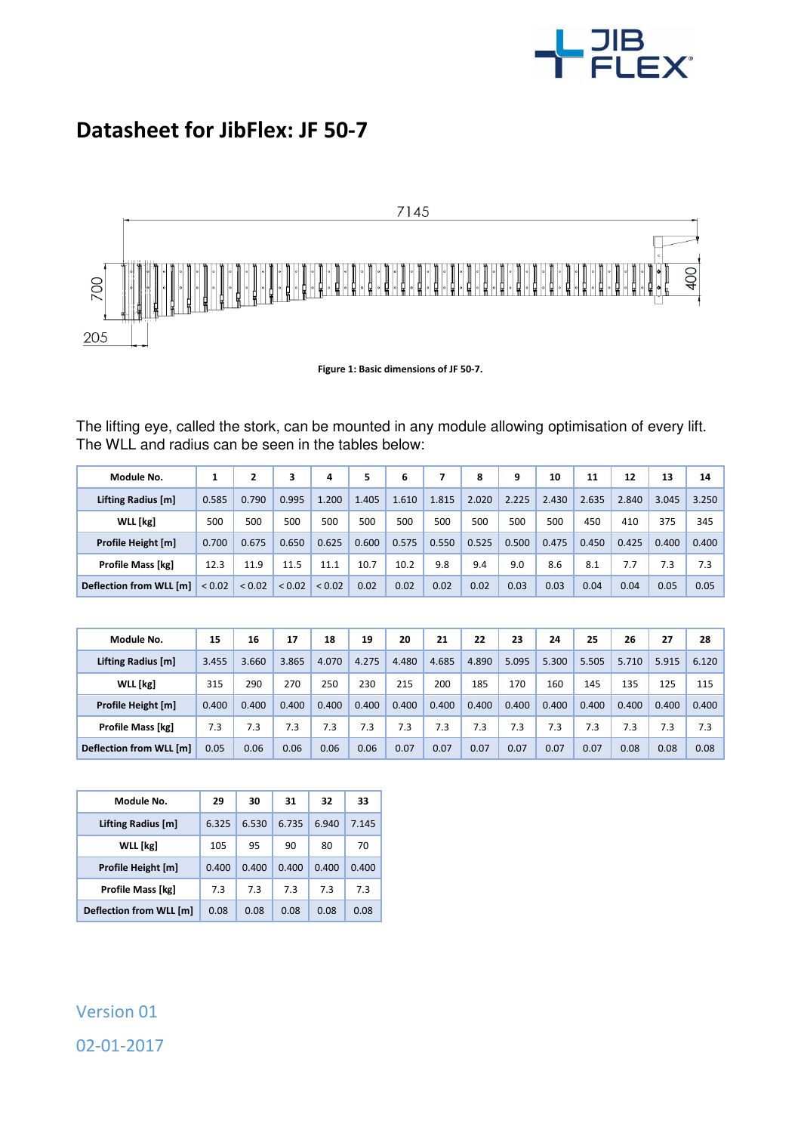

## **Datasheet for JibFlex: JF 50-7**



**Figure 1: Basic dimensions of JF 50-7.** 

The lifting eye, called the stork, can be mounted in any module allowing optimisation of every lift. The WLL and radius can be seen in the tables below:

| Module No.               |        | 2      | 3      | 4           | 5     | 6     |       | 8     | 9     | 10    | 11    | 12    | 13    | 14    |
|--------------------------|--------|--------|--------|-------------|-------|-------|-------|-------|-------|-------|-------|-------|-------|-------|
| Lifting Radius [m]       | 0.585  | 0.790  | 0.995  | 1.200       | 1.405 | 1.610 | 1.815 | 2.020 | 2.225 | 2.430 | 2.635 | 2.840 | 3.045 | 3.250 |
| WLL [kg]                 | 500    | 500    | 500    | 500         | 500   | 500   | 500   | 500   | 500   | 500   | 450   | 410   | 375   | 345   |
| Profile Height [m]       | 0.700  | 0.675  | 0.650  | 0.625       | 0.600 | 0.575 | 0.550 | 0.525 | 0.500 | 0.475 | 0.450 | 0.425 | 0.400 | 0.400 |
| <b>Profile Mass [kg]</b> | 12.3   | 11.9   | 11.5   | 11.1        | 10.7  | 10.2  | 9.8   | 9.4   | 9.0   | 8.6   | 8.1   | 7.7   | 7.3   | 7.3   |
| Deflection from WLL [m]  | < 0.02 | < 0.02 | < 0.02 | ${}_{0.02}$ | 0.02  | 0.02  | 0.02  | 0.02  | 0.03  | 0.03  | 0.04  | 0.04  | 0.05  | 0.05  |

| Module No.               | 15    | 16    | 17    | 18    | 19    | 20    | 21    | 22    | 23    | 24    | 25    | 26    | 27    | 28    |
|--------------------------|-------|-------|-------|-------|-------|-------|-------|-------|-------|-------|-------|-------|-------|-------|
| Lifting Radius [m]       | 3.455 | 3.660 | 3.865 | 4.070 | 4.275 | 4.480 | 4.685 | 4.890 | 5.095 | 5.300 | 5.505 | 5.710 | 5.915 | 6.120 |
| WLL [kg]                 | 315   | 290   | 270   | 250   | 230   | 215   | 200   | 185   | 170   | 160   | 145   | 135   | 125   | 115   |
| Profile Height [m]       | 0.400 | 0.400 | 0.400 | 0.400 | 0.400 | 0.400 | 0.400 | 0.400 | 0.400 | 0.400 | 0.400 | 0.400 | 0.400 | 0.400 |
| <b>Profile Mass [kg]</b> | 7.3   | 7.3   | 7.3   | 7.3   | 7.3   | 7.3   | 7.3   | 7.3   | 7.3   | 7.3   | 7.3   | 7.3   | 7.3   | 7.3   |
| Deflection from WLL [m]  | 0.05  | 0.06  | 0.06  | 0.06  | 0.06  | 0.07  | 0.07  | 0.07  | 0.07  | 0.07  | 0.07  | 0.08  | 0.08  | 0.08  |

| Module No.              | 29    | 30    | 31    | 32    | 33    |  |
|-------------------------|-------|-------|-------|-------|-------|--|
| Lifting Radius [m]      | 6.325 | 6.530 | 6.735 | 6.940 | 7.145 |  |
| <b>WLL</b> [kg]         | 105   | 95    | 90    | 80    | 70    |  |
| Profile Height [m]      | 0.400 | 0.400 | 0.400 | 0.400 | 0.400 |  |
| Profile Mass [kg]       | 7.3   | 7.3   | 7.3   | 7.3   | 7.3   |  |
| Deflection from WLL [m] | 0.08  | 0.08  | 0.08  | 0.08  | 0.08  |  |

## Version 01 02-01-2017